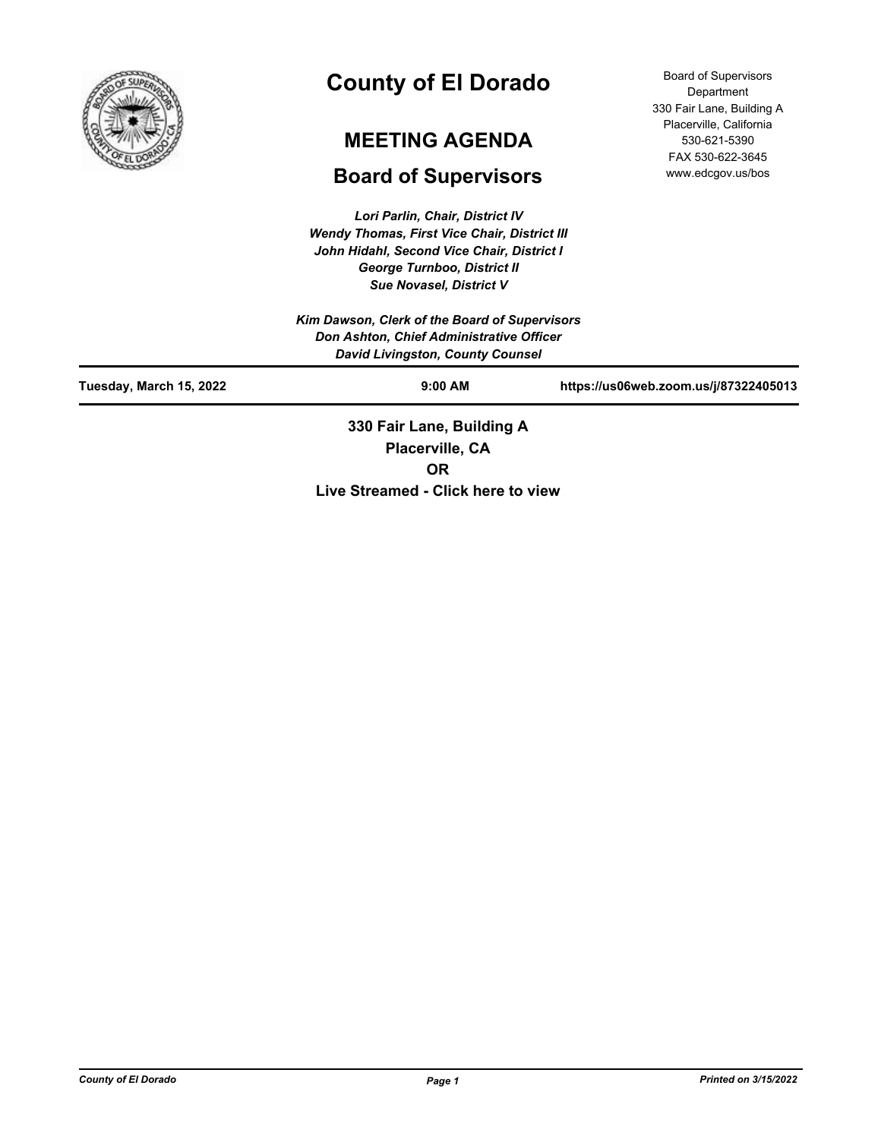

# **County of El Dorado**

# **MEETING AGENDA**

# **Board of Supervisors**

*Lori Parlin, Chair, District IV Wendy Thomas, First Vice Chair, District III John Hidahl, Second Vice Chair, District I George Turnboo, District II Sue Novasel, District V*

Board of Supervisors Department 330 Fair Lane, Building A Placerville, California 530-621-5390 FAX 530-622-3645 www.edcgov.us/bos

| Kim Dawson, Clerk of the Board of Supervisors<br>Don Ashton, Chief Administrative Officer<br><b>David Livingston, County Counsel</b> |                                              |                                       |  |
|--------------------------------------------------------------------------------------------------------------------------------------|----------------------------------------------|---------------------------------------|--|
| Tuesday, March 15, 2022                                                                                                              | $9:00$ AM                                    | https://us06web.zoom.us/j/87322405013 |  |
|                                                                                                                                      | 330 Fair Lane, Building A<br>Placerville, CA |                                       |  |

**OR**

**Live Streamed - Click here to view**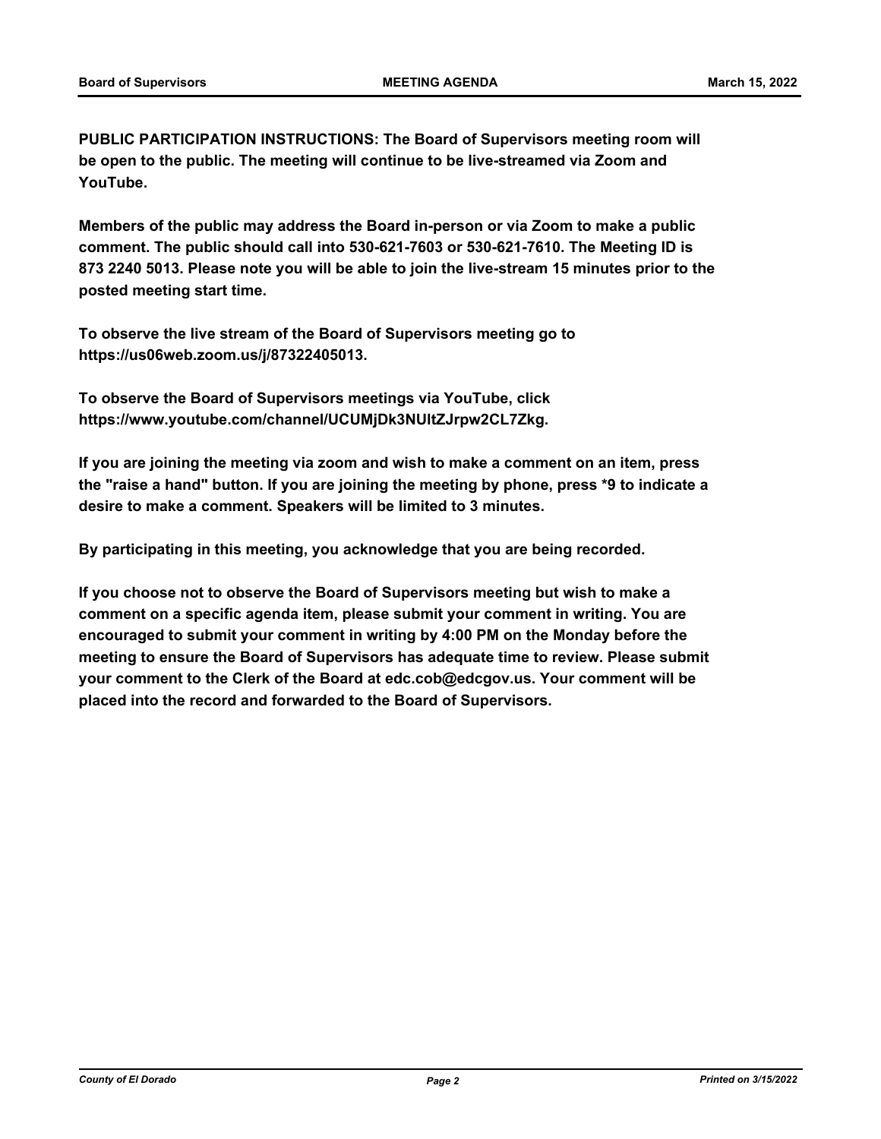**PUBLIC PARTICIPATION INSTRUCTIONS: The Board of Supervisors meeting room will be open to the public. The meeting will continue to be live-streamed via Zoom and YouTube.**

**Members of the public may address the Board in-person or via Zoom to make a public comment. The public should call into 530-621-7603 or 530-621-7610. The Meeting ID is 873 2240 5013. Please note you will be able to join the live-stream 15 minutes prior to the posted meeting start time.**

**To observe the live stream of the Board of Supervisors meeting go to https://us06web.zoom.us/j/87322405013.**

**To observe the Board of Supervisors meetings via YouTube, click https://www.youtube.com/channel/UCUMjDk3NUltZJrpw2CL7Zkg.**

**If you are joining the meeting via zoom and wish to make a comment on an item, press the "raise a hand" button. If you are joining the meeting by phone, press \*9 to indicate a desire to make a comment. Speakers will be limited to 3 minutes.**

**By participating in this meeting, you acknowledge that you are being recorded.**

**If you choose not to observe the Board of Supervisors meeting but wish to make a comment on a specific agenda item, please submit your comment in writing. You are encouraged to submit your comment in writing by 4:00 PM on the Monday before the meeting to ensure the Board of Supervisors has adequate time to review. Please submit your comment to the Clerk of the Board at edc.cob@edcgov.us. Your comment will be placed into the record and forwarded to the Board of Supervisors.**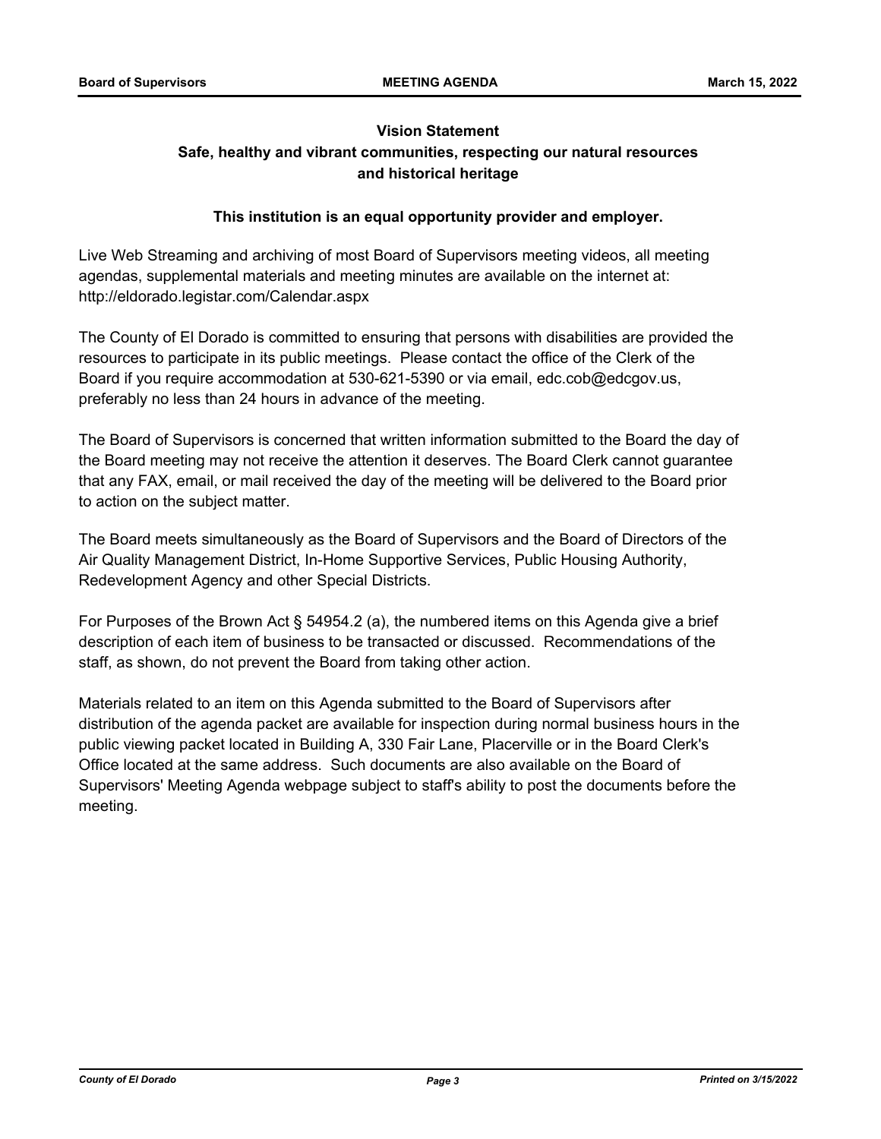## **Vision Statement Safe, healthy and vibrant communities, respecting our natural resources and historical heritage**

## **This institution is an equal opportunity provider and employer.**

Live Web Streaming and archiving of most Board of Supervisors meeting videos, all meeting agendas, supplemental materials and meeting minutes are available on the internet at: http://eldorado.legistar.com/Calendar.aspx

The County of El Dorado is committed to ensuring that persons with disabilities are provided the resources to participate in its public meetings. Please contact the office of the Clerk of the Board if you require accommodation at 530-621-5390 or via email, edc.cob@edcgov.us, preferably no less than 24 hours in advance of the meeting.

The Board of Supervisors is concerned that written information submitted to the Board the day of the Board meeting may not receive the attention it deserves. The Board Clerk cannot guarantee that any FAX, email, or mail received the day of the meeting will be delivered to the Board prior to action on the subject matter.

The Board meets simultaneously as the Board of Supervisors and the Board of Directors of the Air Quality Management District, In-Home Supportive Services, Public Housing Authority, Redevelopment Agency and other Special Districts.

For Purposes of the Brown Act § 54954.2 (a), the numbered items on this Agenda give a brief description of each item of business to be transacted or discussed. Recommendations of the staff, as shown, do not prevent the Board from taking other action.

Materials related to an item on this Agenda submitted to the Board of Supervisors after distribution of the agenda packet are available for inspection during normal business hours in the public viewing packet located in Building A, 330 Fair Lane, Placerville or in the Board Clerk's Office located at the same address. Such documents are also available on the Board of Supervisors' Meeting Agenda webpage subject to staff's ability to post the documents before the meeting.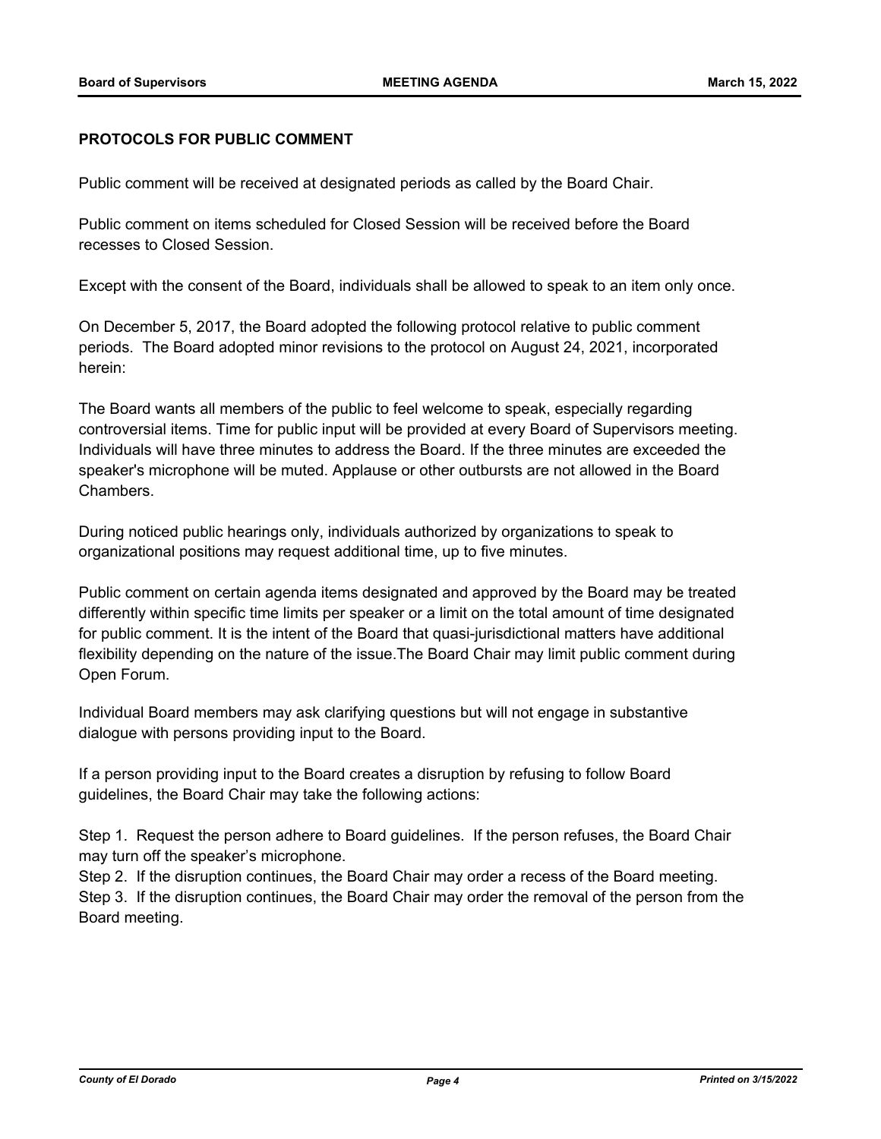## **PROTOCOLS FOR PUBLIC COMMENT**

Public comment will be received at designated periods as called by the Board Chair.

Public comment on items scheduled for Closed Session will be received before the Board recesses to Closed Session.

Except with the consent of the Board, individuals shall be allowed to speak to an item only once.

On December 5, 2017, the Board adopted the following protocol relative to public comment periods. The Board adopted minor revisions to the protocol on August 24, 2021, incorporated herein:

The Board wants all members of the public to feel welcome to speak, especially regarding controversial items. Time for public input will be provided at every Board of Supervisors meeting. Individuals will have three minutes to address the Board. If the three minutes are exceeded the speaker's microphone will be muted. Applause or other outbursts are not allowed in the Board Chambers.

During noticed public hearings only, individuals authorized by organizations to speak to organizational positions may request additional time, up to five minutes.

Public comment on certain agenda items designated and approved by the Board may be treated differently within specific time limits per speaker or a limit on the total amount of time designated for public comment. It is the intent of the Board that quasi-jurisdictional matters have additional flexibility depending on the nature of the issue.The Board Chair may limit public comment during Open Forum.

Individual Board members may ask clarifying questions but will not engage in substantive dialogue with persons providing input to the Board.

If a person providing input to the Board creates a disruption by refusing to follow Board guidelines, the Board Chair may take the following actions:

Step 1. Request the person adhere to Board guidelines. If the person refuses, the Board Chair may turn off the speaker's microphone.

Step 2. If the disruption continues, the Board Chair may order a recess of the Board meeting. Step 3. If the disruption continues, the Board Chair may order the removal of the person from the Board meeting.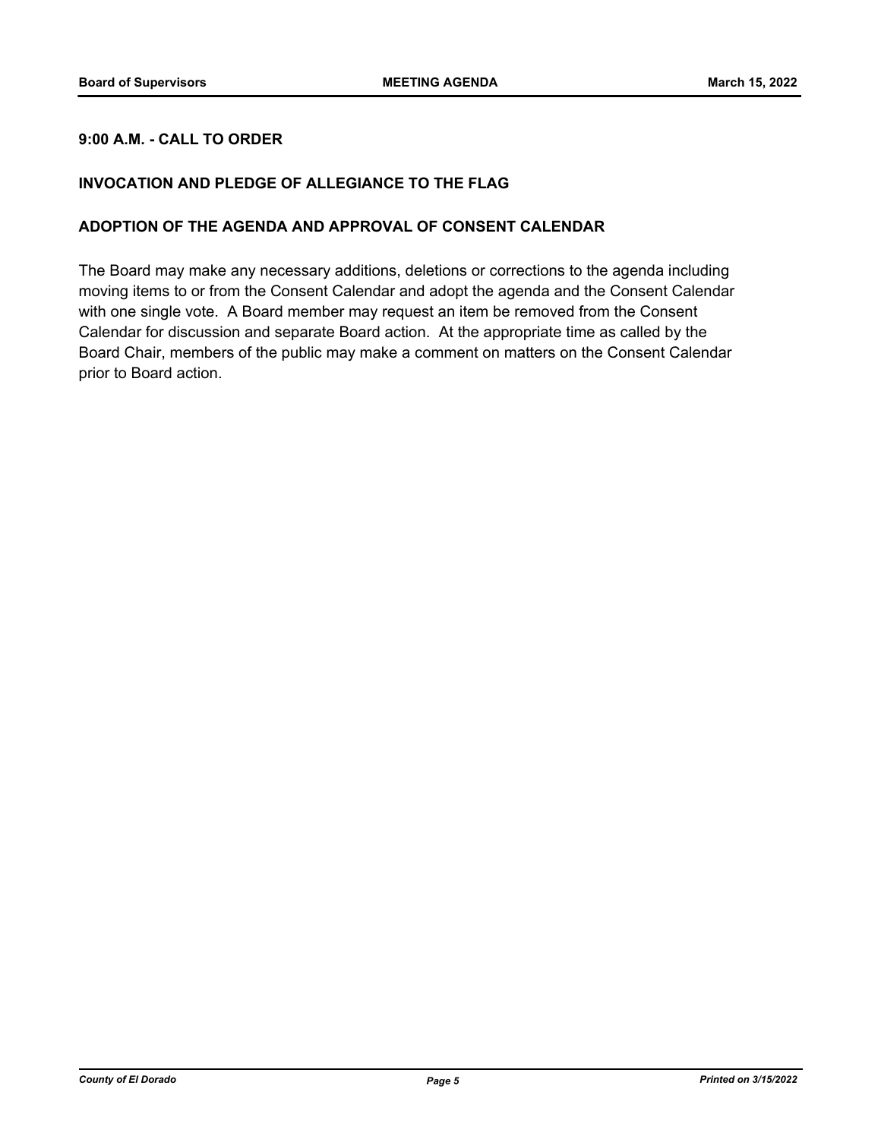## **9:00 A.M. - CALL TO ORDER**

## **INVOCATION AND PLEDGE OF ALLEGIANCE TO THE FLAG**

## **ADOPTION OF THE AGENDA AND APPROVAL OF CONSENT CALENDAR**

The Board may make any necessary additions, deletions or corrections to the agenda including moving items to or from the Consent Calendar and adopt the agenda and the Consent Calendar with one single vote. A Board member may request an item be removed from the Consent Calendar for discussion and separate Board action. At the appropriate time as called by the Board Chair, members of the public may make a comment on matters on the Consent Calendar prior to Board action.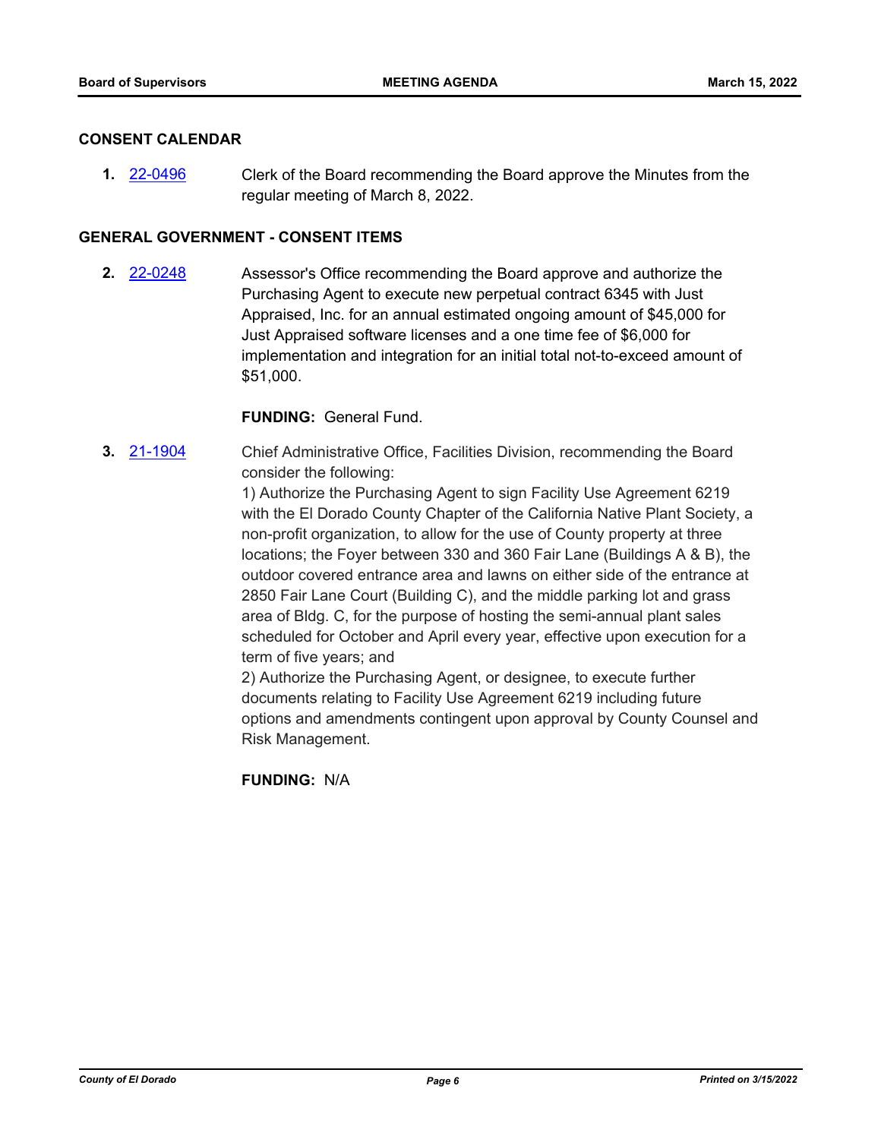#### **CONSENT CALENDAR**

**1.** [22-0496](http://eldorado.legistar.com/gateway.aspx?m=l&id=/matter.aspx?key=31397) Clerk of the Board recommending the Board approve the Minutes from the regular meeting of March 8, 2022.

## **GENERAL GOVERNMENT - CONSENT ITEMS**

**2.** [22-0248](http://eldorado.legistar.com/gateway.aspx?m=l&id=/matter.aspx?key=31149) Assessor's Office recommending the Board approve and authorize the Purchasing Agent to execute new perpetual contract 6345 with Just Appraised, Inc. for an annual estimated ongoing amount of \$45,000 for Just Appraised software licenses and a one time fee of \$6,000 for implementation and integration for an initial total not-to-exceed amount of \$51,000.

### **FUNDING:** General Fund.

**3.** [21-1904](http://eldorado.legistar.com/gateway.aspx?m=l&id=/matter.aspx?key=30800) Chief Administrative Office, Facilities Division, recommending the Board consider the following:

> 1) Authorize the Purchasing Agent to sign Facility Use Agreement 6219 with the El Dorado County Chapter of the California Native Plant Society, a non-profit organization, to allow for the use of County property at three locations; the Foyer between 330 and 360 Fair Lane (Buildings A & B), the outdoor covered entrance area and lawns on either side of the entrance at 2850 Fair Lane Court (Building C), and the middle parking lot and grass area of Bldg. C, for the purpose of hosting the semi-annual plant sales scheduled for October and April every year, effective upon execution for a term of five years; and

> 2) Authorize the Purchasing Agent, or designee, to execute further documents relating to Facility Use Agreement 6219 including future options and amendments contingent upon approval by County Counsel and Risk Management.

**FUNDING:** N/A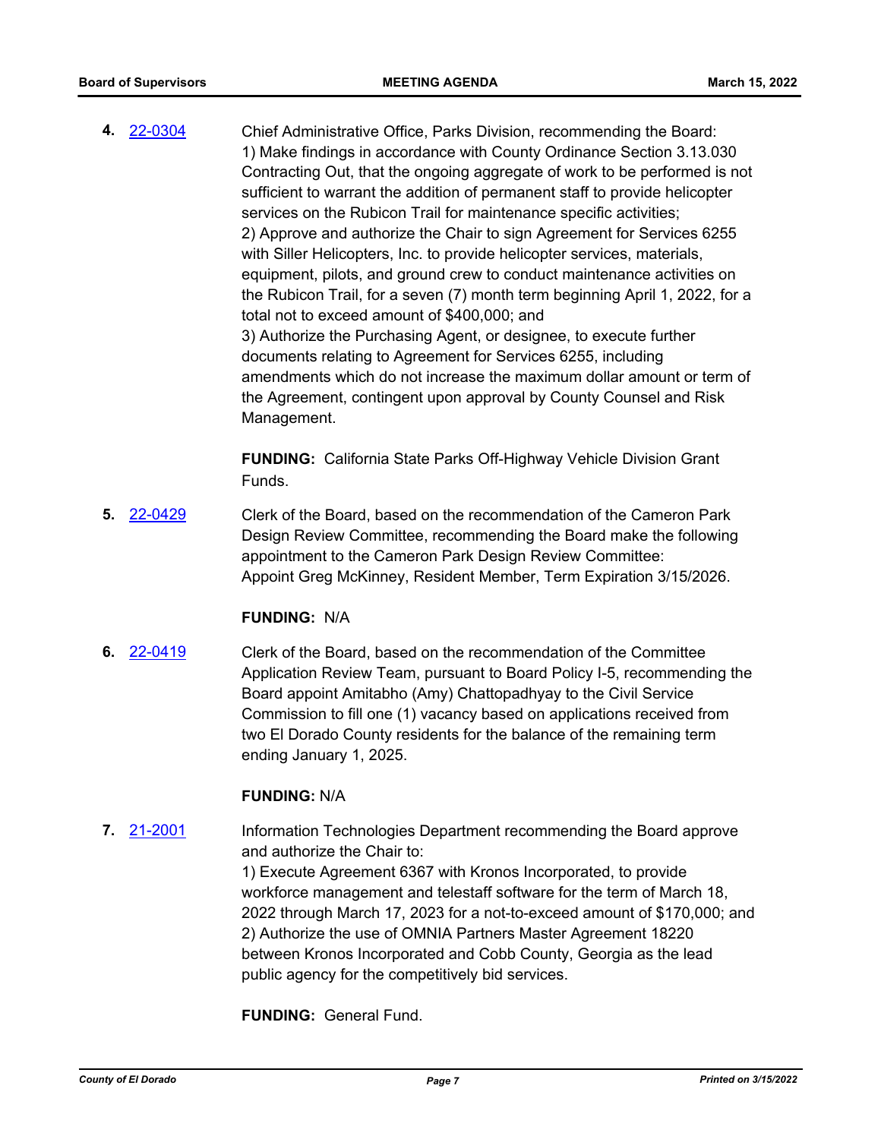**4.** [22-0304](http://eldorado.legistar.com/gateway.aspx?m=l&id=/matter.aspx?key=31205) Chief Administrative Office, Parks Division, recommending the Board: 1) Make findings in accordance with County Ordinance Section 3.13.030 Contracting Out, that the ongoing aggregate of work to be performed is not sufficient to warrant the addition of permanent staff to provide helicopter services on the Rubicon Trail for maintenance specific activities; 2) Approve and authorize the Chair to sign Agreement for Services 6255 with Siller Helicopters, Inc. to provide helicopter services, materials, equipment, pilots, and ground crew to conduct maintenance activities on the Rubicon Trail, for a seven (7) month term beginning April 1, 2022, for a total not to exceed amount of \$400,000; and 3) Authorize the Purchasing Agent, or designee, to execute further documents relating to Agreement for Services 6255, including amendments which do not increase the maximum dollar amount or term of the Agreement, contingent upon approval by County Counsel and Risk Management.

> **FUNDING:** California State Parks Off-Highway Vehicle Division Grant Funds.

**5.** [22-0429](http://eldorado.legistar.com/gateway.aspx?m=l&id=/matter.aspx?key=31330) Clerk of the Board, based on the recommendation of the Cameron Park Design Review Committee, recommending the Board make the following appointment to the Cameron Park Design Review Committee: Appoint Greg McKinney, Resident Member, Term Expiration 3/15/2026.

#### **FUNDING:** N/A

**6.** [22-0419](http://eldorado.legistar.com/gateway.aspx?m=l&id=/matter.aspx?key=31320) Clerk of the Board, based on the recommendation of the Committee Application Review Team, pursuant to Board Policy I-5, recommending the Board appoint Amitabho (Amy) Chattopadhyay to the Civil Service Commission to fill one (1) vacancy based on applications received from two El Dorado County residents for the balance of the remaining term ending January 1, 2025.

## **FUNDING:** N/A

**7.** [21-2001](http://eldorado.legistar.com/gateway.aspx?m=l&id=/matter.aspx?key=30898) Information Technologies Department recommending the Board approve and authorize the Chair to: 1) Execute Agreement 6367 with Kronos Incorporated, to provide

workforce management and telestaff software for the term of March 18, 2022 through March 17, 2023 for a not-to-exceed amount of \$170,000; and 2) Authorize the use of OMNIA Partners Master Agreement 18220 between Kronos Incorporated and Cobb County, Georgia as the lead public agency for the competitively bid services.

**FUNDING:** General Fund.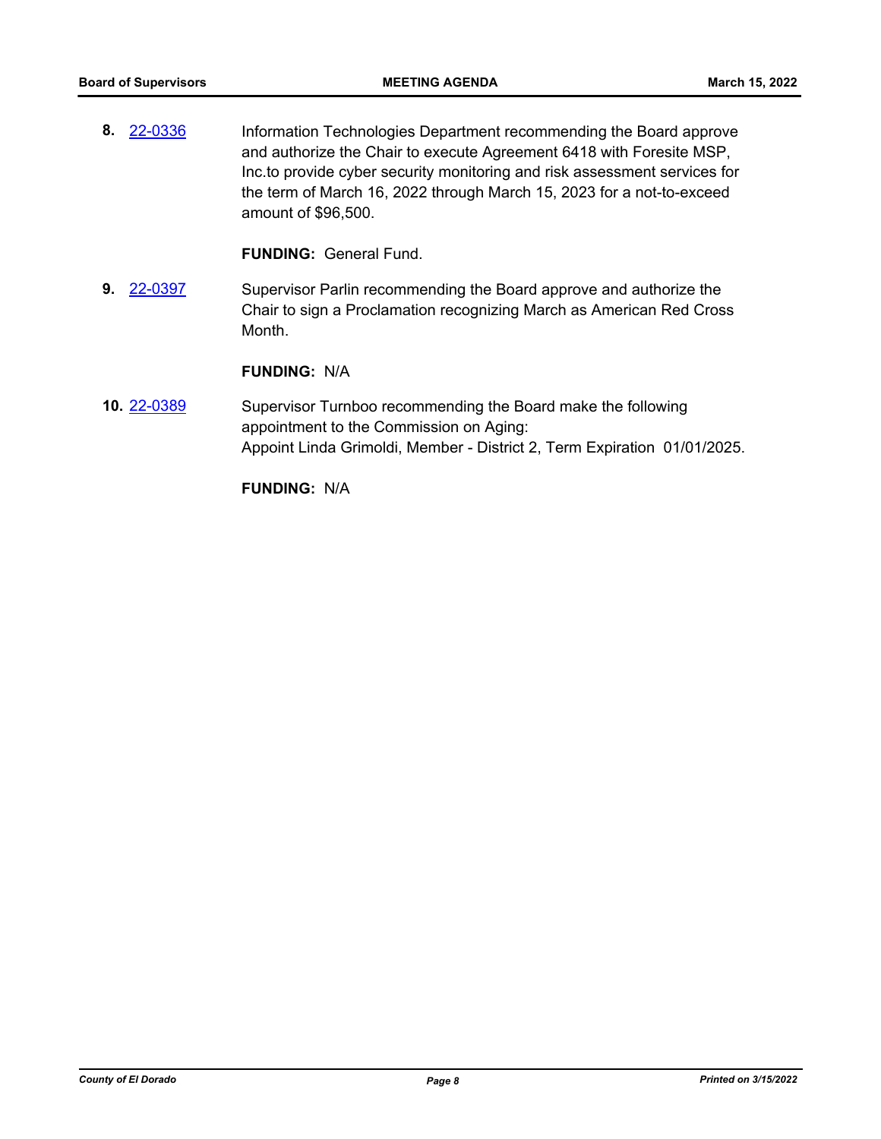**8.** [22-0336](http://eldorado.legistar.com/gateway.aspx?m=l&id=/matter.aspx?key=31237) Information Technologies Department recommending the Board approve and authorize the Chair to execute Agreement 6418 with Foresite MSP, Inc.to provide cyber security monitoring and risk assessment services for the term of March 16, 2022 through March 15, 2023 for a not-to-exceed amount of \$96,500.

**FUNDING:** General Fund.

**9.** [22-0397](http://eldorado.legistar.com/gateway.aspx?m=l&id=/matter.aspx?key=31298) Supervisor Parlin recommending the Board approve and authorize the Chair to sign a Proclamation recognizing March as American Red Cross Month.

#### **FUNDING:** N/A

**10.** [22-0389](http://eldorado.legistar.com/gateway.aspx?m=l&id=/matter.aspx?key=31290) Supervisor Turnboo recommending the Board make the following appointment to the Commission on Aging: Appoint Linda Grimoldi, Member - District 2, Term Expiration 01/01/2025.

**FUNDING:** N/A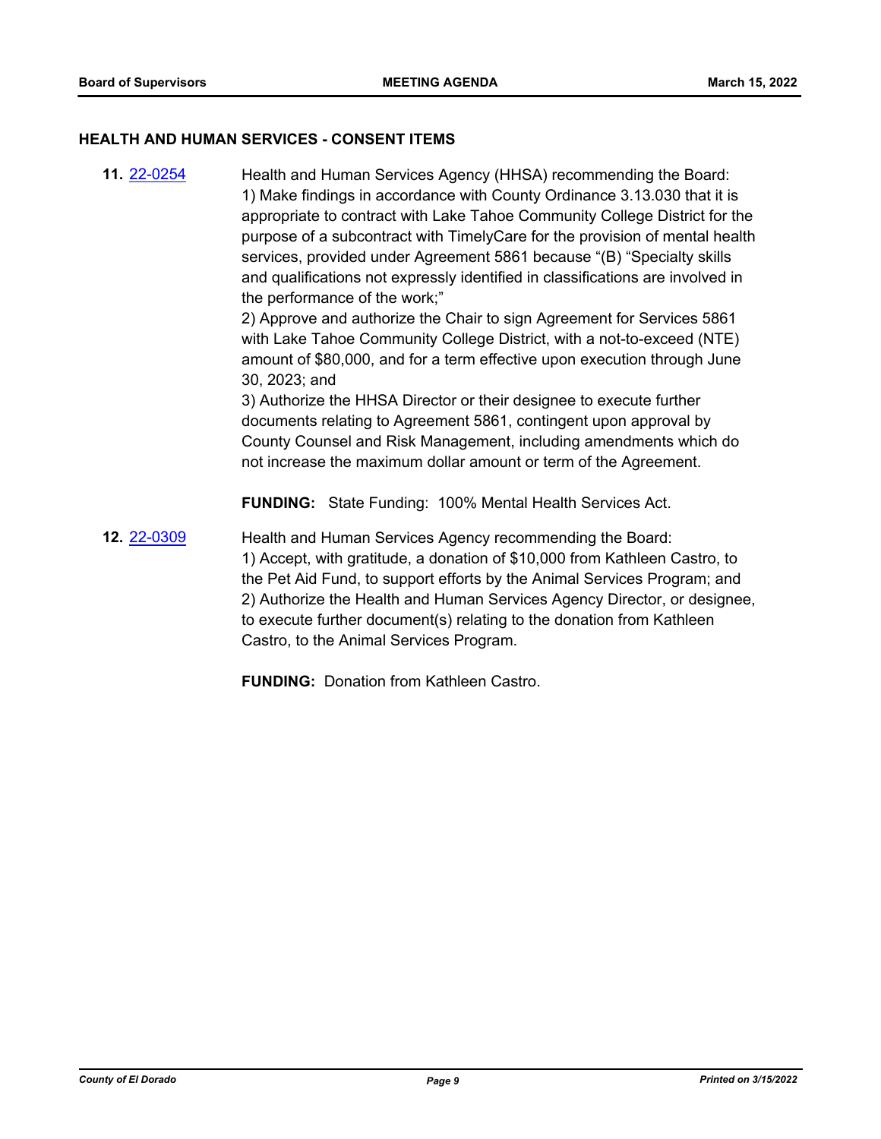#### **HEALTH AND HUMAN SERVICES - CONSENT ITEMS**

**11.** [22-0254](http://eldorado.legistar.com/gateway.aspx?m=l&id=/matter.aspx?key=31155) Health and Human Services Agency (HHSA) recommending the Board: 1) Make findings in accordance with County Ordinance 3.13.030 that it is appropriate to contract with Lake Tahoe Community College District for the purpose of a subcontract with TimelyCare for the provision of mental health services, provided under Agreement 5861 because "(B) "Specialty skills and qualifications not expressly identified in classifications are involved in the performance of the work;" 2) Approve and authorize the Chair to sign Agreement for Services 5861 with Lake Tahoe Community College District, with a not-to-exceed (NTE) amount of \$80,000, and for a term effective upon execution through June 30, 2023; and 3) Authorize the HHSA Director or their designee to execute further documents relating to Agreement 5861, contingent upon approval by County Counsel and Risk Management, including amendments which do not increase the maximum dollar amount or term of the Agreement. **FUNDING:** State Funding: 100% Mental Health Services Act. **12.** [22-0309](http://eldorado.legistar.com/gateway.aspx?m=l&id=/matter.aspx?key=31210) Health and Human Services Agency recommending the Board: 1) Accept, with gratitude, a donation of \$10,000 from Kathleen Castro, to the Pet Aid Fund, to support efforts by the Animal Services Program; and

2) Authorize the Health and Human Services Agency Director, or designee, to execute further document(s) relating to the donation from Kathleen Castro, to the Animal Services Program.

**FUNDING:** Donation from Kathleen Castro.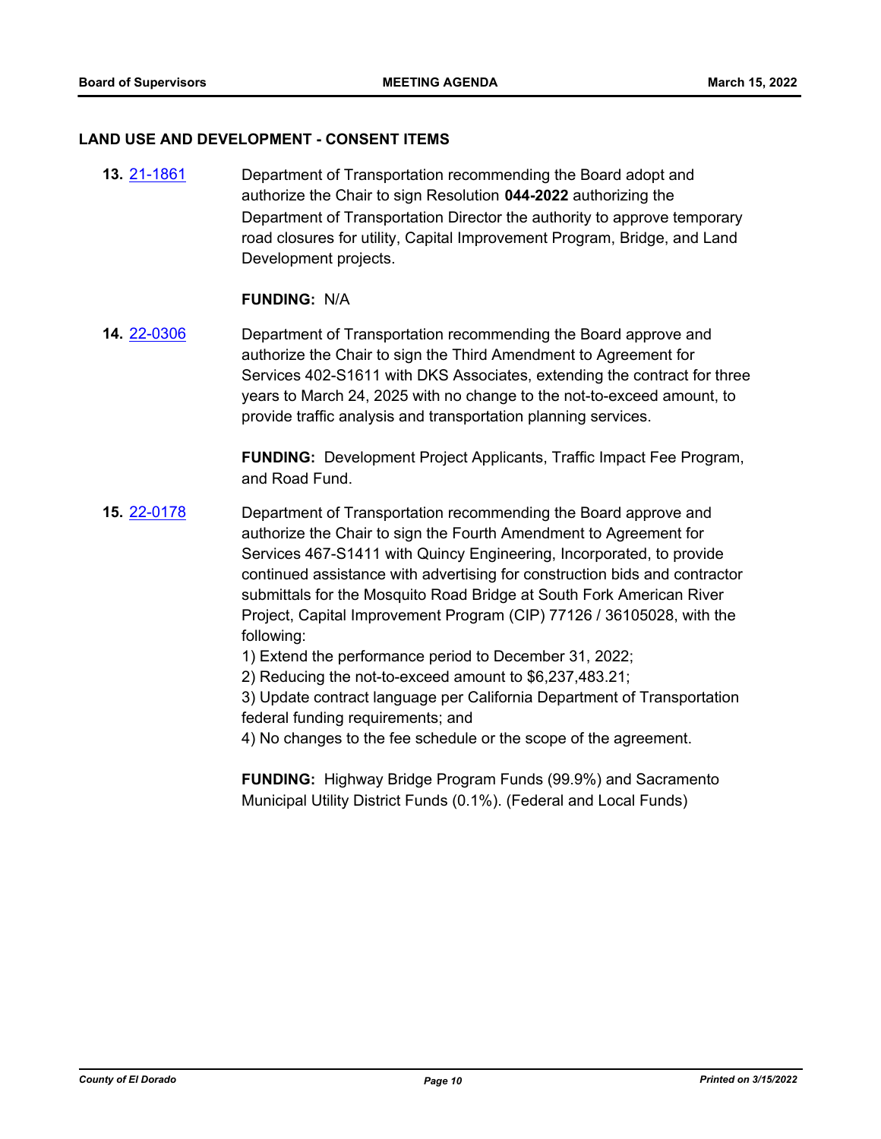#### **LAND USE AND DEVELOPMENT - CONSENT ITEMS**

**13.** [21-1861](http://eldorado.legistar.com/gateway.aspx?m=l&id=/matter.aspx?key=30757) Department of Transportation recommending the Board adopt and authorize the Chair to sign Resolution **044-2022** authorizing the Department of Transportation Director the authority to approve temporary road closures for utility, Capital Improvement Program, Bridge, and Land Development projects.

#### **FUNDING:** N/A

**14.** [22-0306](http://eldorado.legistar.com/gateway.aspx?m=l&id=/matter.aspx?key=31207) Department of Transportation recommending the Board approve and authorize the Chair to sign the Third Amendment to Agreement for Services 402-S1611 with DKS Associates, extending the contract for three years to March 24, 2025 with no change to the not-to-exceed amount, to provide traffic analysis and transportation planning services.

> **FUNDING:** Development Project Applicants, Traffic Impact Fee Program, and Road Fund.

**15.** [22-0178](http://eldorado.legistar.com/gateway.aspx?m=l&id=/matter.aspx?key=31079) Department of Transportation recommending the Board approve and authorize the Chair to sign the Fourth Amendment to Agreement for Services 467-S1411 with Quincy Engineering, Incorporated, to provide continued assistance with advertising for construction bids and contractor submittals for the Mosquito Road Bridge at South Fork American River Project, Capital Improvement Program (CIP) 77126 / 36105028, with the following:

1) Extend the performance period to December 31, 2022;

2) Reducing the not-to-exceed amount to \$6,237,483.21;

3) Update contract language per California Department of Transportation federal funding requirements; and

4) No changes to the fee schedule or the scope of the agreement.

**FUNDING:** Highway Bridge Program Funds (99.9%) and Sacramento Municipal Utility District Funds (0.1%). (Federal and Local Funds)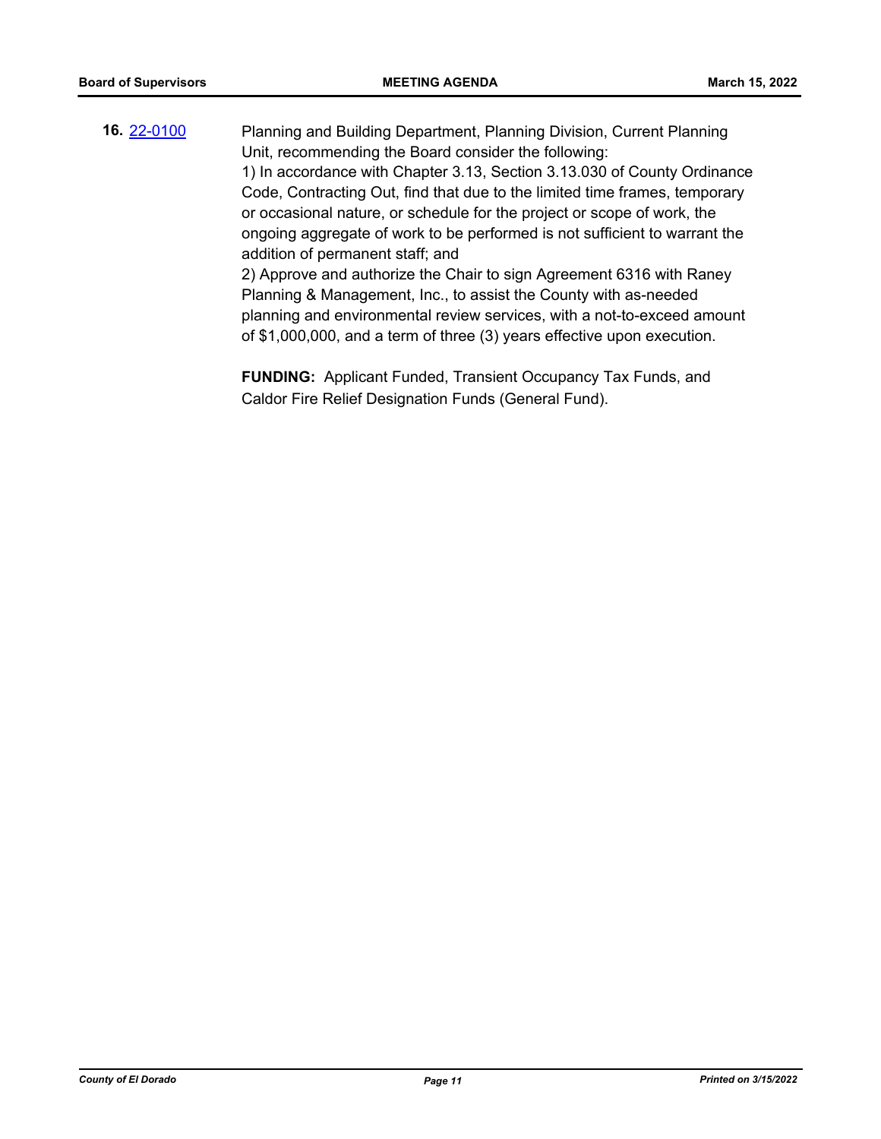**16.** [22-0100](http://eldorado.legistar.com/gateway.aspx?m=l&id=/matter.aspx?key=31000) Planning and Building Department, Planning Division, Current Planning Unit, recommending the Board consider the following: 1) In accordance with Chapter 3.13, Section 3.13.030 of County Ordinance Code, Contracting Out, find that due to the limited time frames, temporary or occasional nature, or schedule for the project or scope of work, the ongoing aggregate of work to be performed is not sufficient to warrant the addition of permanent staff; and 2) Approve and authorize the Chair to sign Agreement 6316 with Raney Planning & Management, Inc., to assist the County with as-needed planning and environmental review services, with a not-to-exceed amount of \$1,000,000, and a term of three (3) years effective upon execution.

> **FUNDING:** Applicant Funded, Transient Occupancy Tax Funds, and Caldor Fire Relief Designation Funds (General Fund).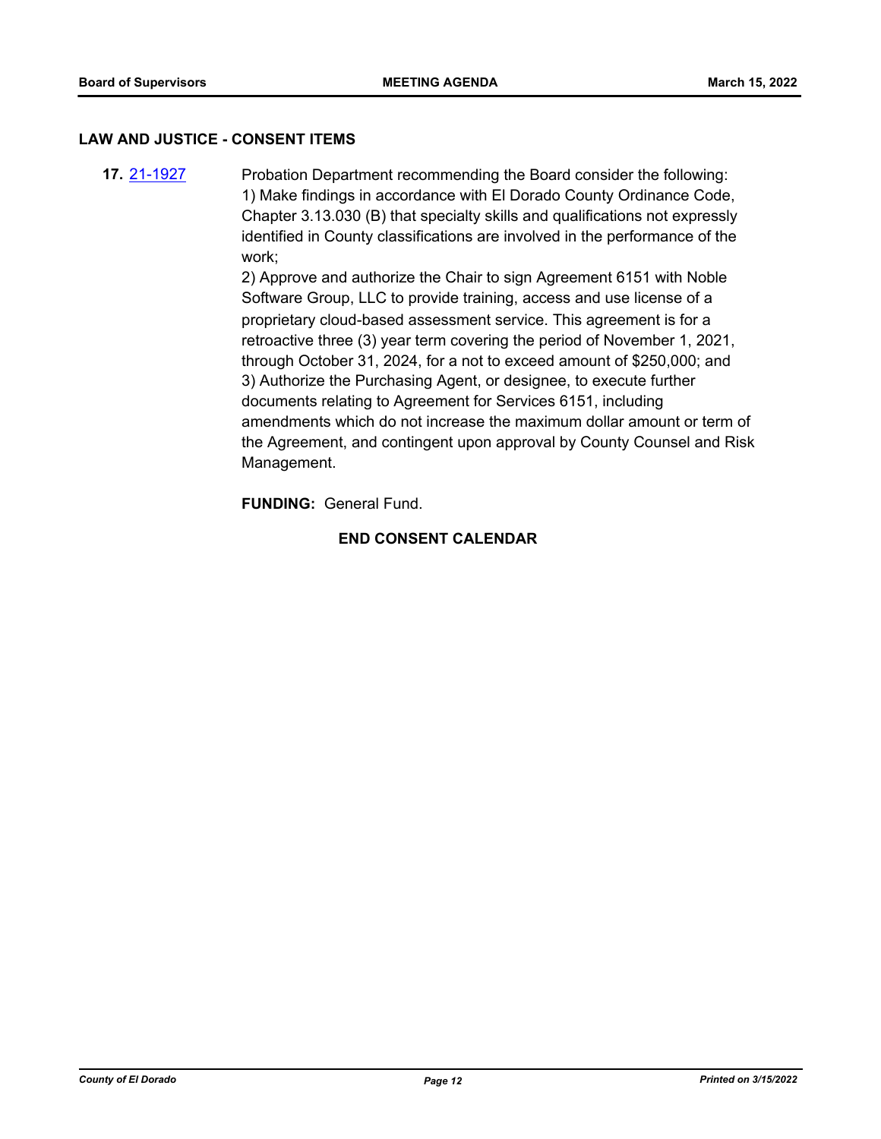#### **LAW AND JUSTICE - CONSENT ITEMS**

**17.** [21-1927](http://eldorado.legistar.com/gateway.aspx?m=l&id=/matter.aspx?key=30823) Probation Department recommending the Board consider the following: 1) Make findings in accordance with El Dorado County Ordinance Code, Chapter 3.13.030 (B) that specialty skills and qualifications not expressly identified in County classifications are involved in the performance of the work;

2) Approve and authorize the Chair to sign Agreement 6151 with Noble Software Group, LLC to provide training, access and use license of a proprietary cloud-based assessment service. This agreement is for a retroactive three (3) year term covering the period of November 1, 2021, through October 31, 2024, for a not to exceed amount of \$250,000; and 3) Authorize the Purchasing Agent, or designee, to execute further documents relating to Agreement for Services 6151, including amendments which do not increase the maximum dollar amount or term of the Agreement, and contingent upon approval by County Counsel and Risk Management.

**FUNDING:** General Fund.

## **END CONSENT CALENDAR**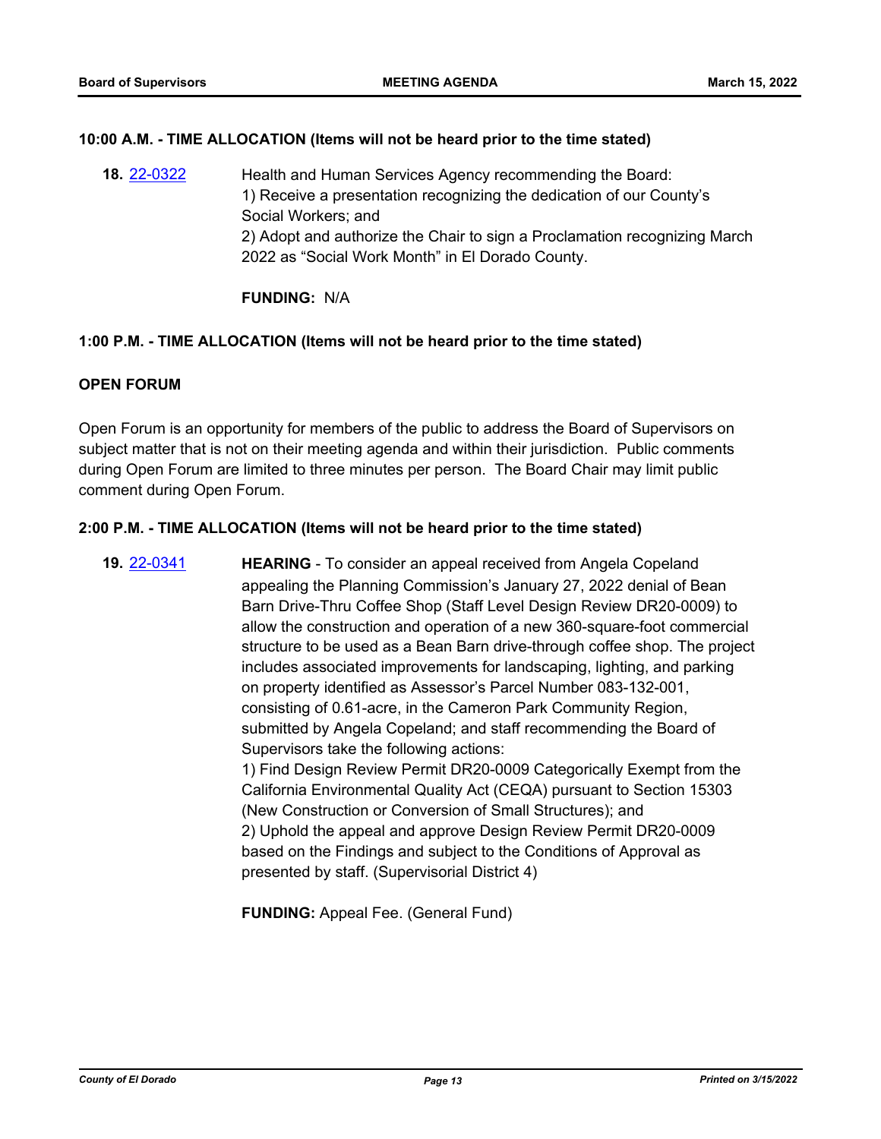## **10:00 A.M. - TIME ALLOCATION (Items will not be heard prior to the time stated)**

**18.** [22-0322](http://eldorado.legistar.com/gateway.aspx?m=l&id=/matter.aspx?key=31223) Health and Human Services Agency recommending the Board: 1) Receive a presentation recognizing the dedication of our County's Social Workers; and 2) Adopt and authorize the Chair to sign a Proclamation recognizing March 2022 as "Social Work Month" in El Dorado County.

**FUNDING:** N/A

#### **1:00 P.M. - TIME ALLOCATION (Items will not be heard prior to the time stated)**

## **OPEN FORUM**

Open Forum is an opportunity for members of the public to address the Board of Supervisors on subject matter that is not on their meeting agenda and within their jurisdiction. Public comments during Open Forum are limited to three minutes per person. The Board Chair may limit public comment during Open Forum.

#### **2:00 P.M. - TIME ALLOCATION (Items will not be heard prior to the time stated)**

**19.** [22-0341](http://eldorado.legistar.com/gateway.aspx?m=l&id=/matter.aspx?key=31242) **HEARING** - To consider an appeal received from Angela Copeland appealing the Planning Commission's January 27, 2022 denial of Bean Barn Drive-Thru Coffee Shop (Staff Level Design Review DR20-0009) to allow the construction and operation of a new 360-square-foot commercial structure to be used as a Bean Barn drive-through coffee shop. The project includes associated improvements for landscaping, lighting, and parking on property identified as Assessor's Parcel Number 083-132-001, consisting of 0.61-acre, in the Cameron Park Community Region, submitted by Angela Copeland; and staff recommending the Board of Supervisors take the following actions: 1) Find Design Review Permit DR20-0009 Categorically Exempt from the California Environmental Quality Act (CEQA) pursuant to Section 15303 (New Construction or Conversion of Small Structures); and 2) Uphold the appeal and approve Design Review Permit DR20-0009 based on the Findings and subject to the Conditions of Approval as presented by staff. (Supervisorial District 4)

**FUNDING:** Appeal Fee. (General Fund)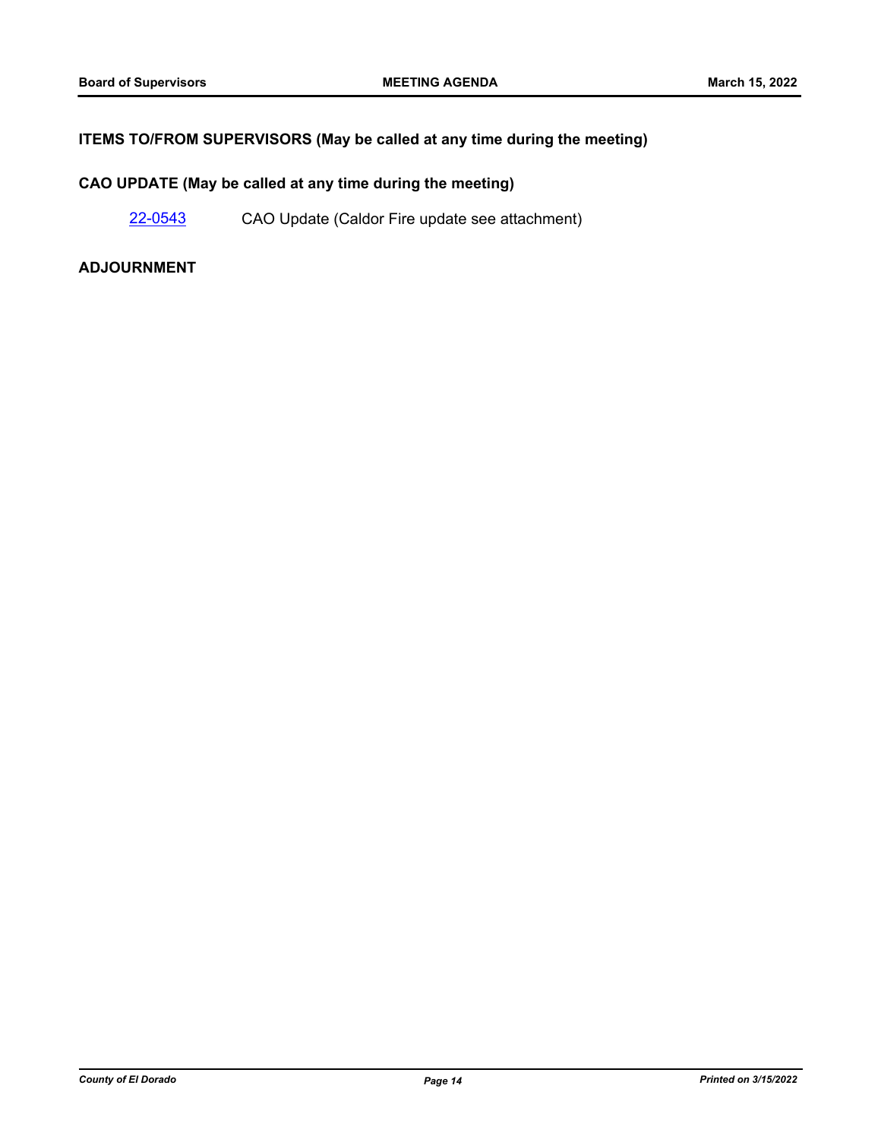## **ITEMS TO/FROM SUPERVISORS (May be called at any time during the meeting)**

## **CAO UPDATE (May be called at any time during the meeting)**

[22-0543](http://eldorado.legistar.com/gateway.aspx?m=l&id=/matter.aspx?key=31444) CAO Update (Caldor Fire update see attachment)

### **ADJOURNMENT**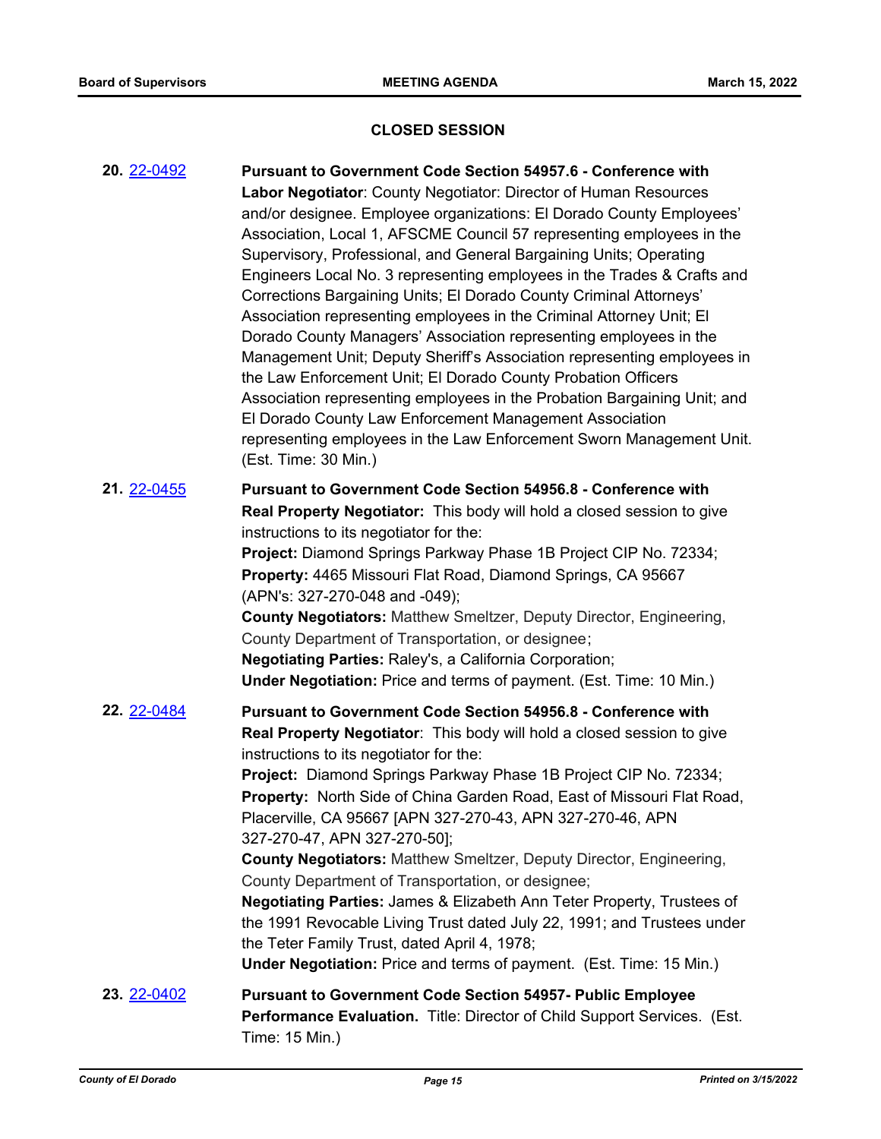## **CLOSED SESSION**

| <b>20. 22-0492</b> | Pursuant to Government Code Section 54957.6 - Conference with<br>Labor Negotiator: County Negotiator: Director of Human Resources<br>and/or designee. Employee organizations: El Dorado County Employees'<br>Association, Local 1, AFSCME Council 57 representing employees in the<br>Supervisory, Professional, and General Bargaining Units; Operating<br>Engineers Local No. 3 representing employees in the Trades & Crafts and<br>Corrections Bargaining Units; El Dorado County Criminal Attorneys'<br>Association representing employees in the Criminal Attorney Unit; El<br>Dorado County Managers' Association representing employees in the<br>Management Unit; Deputy Sheriff's Association representing employees in<br>the Law Enforcement Unit; El Dorado County Probation Officers<br>Association representing employees in the Probation Bargaining Unit; and<br>El Dorado County Law Enforcement Management Association<br>representing employees in the Law Enforcement Sworn Management Unit.<br>(Est. Time: 30 Min.) |
|--------------------|-------------------------------------------------------------------------------------------------------------------------------------------------------------------------------------------------------------------------------------------------------------------------------------------------------------------------------------------------------------------------------------------------------------------------------------------------------------------------------------------------------------------------------------------------------------------------------------------------------------------------------------------------------------------------------------------------------------------------------------------------------------------------------------------------------------------------------------------------------------------------------------------------------------------------------------------------------------------------------------------------------------------------------------------|
| 21. 22-0455        | <b>Pursuant to Government Code Section 54956.8 - Conference with</b><br>Real Property Negotiator: This body will hold a closed session to give<br>instructions to its negotiator for the:<br>Project: Diamond Springs Parkway Phase 1B Project CIP No. 72334;<br>Property: 4465 Missouri Flat Road, Diamond Springs, CA 95667<br>(APN's: 327-270-048 and -049);<br><b>County Negotiators: Matthew Smeltzer, Deputy Director, Engineering,</b><br>County Department of Transportation, or designee;<br>Negotiating Parties: Raley's, a California Corporation;<br><b>Under Negotiation:</b> Price and terms of payment. (Est. Time: 10 Min.)                                                                                                                                                                                                                                                                                                                                                                                               |
| 22. 22-0484        | <b>Pursuant to Government Code Section 54956.8 - Conference with</b><br>Real Property Negotiator: This body will hold a closed session to give<br>instructions to its negotiator for the:<br>Project: Diamond Springs Parkway Phase 1B Project CIP No. 72334;<br>Property: North Side of China Garden Road, East of Missouri Flat Road,<br>Placerville, CA 95667 [APN 327-270-43, APN 327-270-46, APN<br>327-270-47, APN 327-270-50];<br><b>County Negotiators: Matthew Smeltzer, Deputy Director, Engineering,</b><br>County Department of Transportation, or designee;<br>Negotiating Parties: James & Elizabeth Ann Teter Property, Trustees of<br>the 1991 Revocable Living Trust dated July 22, 1991; and Trustees under<br>the Teter Family Trust, dated April 4, 1978;<br><b>Under Negotiation:</b> Price and terms of payment. (Est. Time: 15 Min.)                                                                                                                                                                               |
| 23. 22-0402        | <b>Pursuant to Government Code Section 54957- Public Employee</b><br>Performance Evaluation. Title: Director of Child Support Services. (Est.<br>Time: 15 Min.)                                                                                                                                                                                                                                                                                                                                                                                                                                                                                                                                                                                                                                                                                                                                                                                                                                                                           |